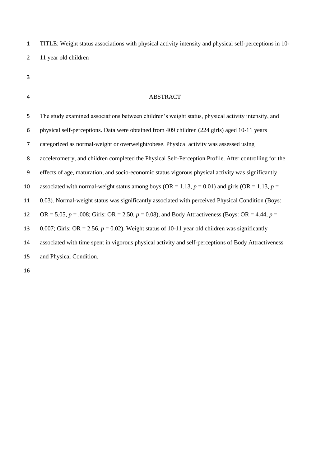TITLE: Weight status associations with physical activity intensity and physical self-perceptions in 10- 11 year old children

- 
- 

## ABSTRACT

| 5  | The study examined associations between children's weight status, physical activity intensity, and      |
|----|---------------------------------------------------------------------------------------------------------|
| 6  | physical self-perceptions. Data were obtained from 409 children (224 girls) aged 10-11 years            |
| 7  | categorized as normal-weight or overweight/obese. Physical activity was assessed using                  |
| 8  | accelerometry, and children completed the Physical Self-Perception Profile. After controlling for the   |
| 9  | effects of age, maturation, and socio-economic status vigorous physical activity was significantly      |
| 10 | associated with normal-weight status among boys (OR = 1.13, $p = 0.01$ ) and girls (OR = 1.13, $p =$    |
| 11 | 0.03). Normal-weight status was significantly associated with perceived Physical Condition (Boys:       |
| 12 | OR = 5.05, $p = .008$ ; Girls: OR = 2.50, $p = 0.08$ ), and Body Attractiveness (Boys: OR = 4.44, $p =$ |
| 13 | 0.007; Girls: OR = 2.56, $p = 0.02$ ). Weight status of 10-11 year old children was significantly       |
| 14 | associated with time spent in vigorous physical activity and self-perceptions of Body Attractiveness    |
| 15 | and Physical Condition.                                                                                 |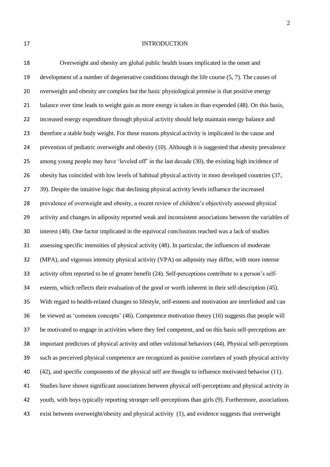## 17 INTRODUCTION

 Overweight and obesity are global public health issues implicated in the onset and development of a number of degenerative conditions through the life course (5, 7). The causes of overweight and obesity are complex but the basic physiological premise is that positive energy balance over time leads to weight gain as more energy is taken in than expended (48). On this basis, increased energy expenditure through physical activity should help maintain energy balance and therefore a stable body weight. For these reasons physical activity is implicated in the cause and prevention of pediatric overweight and obesity (10). Although it is suggested that obesity prevalence among young people may have 'leveled off' in the last decade (30), the existing high incidence of obesity has coincided with low levels of habitual physical activity in most developed countries (37, 39). Despite the intuitive logic that declining physical activity levels influence the increased prevalence of overweight and obesity, a recent review of children's objectively assessed physical activity and changes in adiposity reported weak and inconsistent associations between the variables of interest (48). One factor implicated in the equivocal conclusions reached was a lack of studies assessing specific intensities of physical activity (48). In particular, the influences of moderate (MPA), and vigorous intensity physical activity (VPA) on adiposity may differ, with more intense activity often reported to be of greater benefit (24). Self-perceptions contribute to a person's self- esteem, which reflects their evaluation of the good or worth inherent in their self-description (45). With regard to health-related changes to lifestyle, self-esteem and motivation are interlinked and can be viewed as 'common concepts' (46). Competence motivation theory (16) suggests that people will be motivated to engage in activities where they feel competent, and on this basis self-perceptions are important predictors of physical activity and other volitional behaviors (44). Physical self-perceptions such as perceived physical competence are recognized as positive correlates of youth physical activity (42), and specific components of the physical self are thought to influence motivated behavior (11). Studies have shown significant associations between physical self-perceptions and physical activity in youth, with boys typically reporting stronger self-perceptions than girls (9). Furthermore, associations exist between overweight/obesity and physical activity (1), and evidence suggests that overweight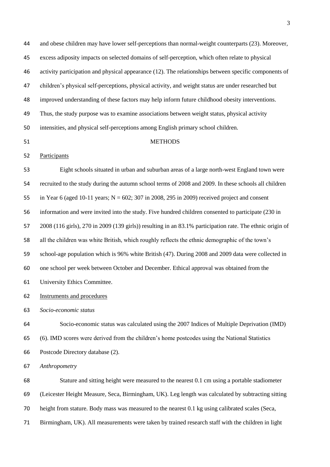and obese children may have lower self-perceptions than normal-weight counterparts (23). Moreover, excess adiposity impacts on selected domains of self-perception, which often relate to physical activity participation and physical appearance (12). The relationships between specific components of children's physical self-perceptions, physical activity, and weight status are under researched but improved understanding of these factors may help inform future childhood obesity interventions. Thus, the study purpose was to examine associations between weight status, physical activity intensities, and physical self-perceptions among English primary school children. METHODS Participants Eight schools situated in urban and suburban areas of a large north-west England town were recruited to the study during the autumn school terms of 2008 and 2009. In these schools all children 55 in Year 6 (aged 10-11 years;  $N = 602$ ; 307 in 2008, 295 in 2009) received project and consent information and were invited into the study. Five hundred children consented to participate (230 in 2008 (116 girls), 270 in 2009 (139 girls)) resulting in an 83.1% participation rate. The ethnic origin of all the children was white British, which roughly reflects the ethnic demographic of the town's school-age population which is 96% white British (47). During 2008 and 2009 data were collected in one school per week between October and December. Ethical approval was obtained from the University Ethics Committee. Instruments and procedures *Socio-economic status* Socio-economic status was calculated using the 2007 Indices of Multiple Deprivation (IMD) (6). IMD scores were derived from the children's home postcodes using the National Statistics Postcode Directory database (2). *Anthropometry* Stature and sitting height were measured to the nearest 0.1 cm using a portable stadiometer (Leicester Height Measure, Seca, Birmingham, UK). Leg length was calculated by subtracting sitting height from stature. Body mass was measured to the nearest 0.1 kg using calibrated scales (Seca, Birmingham, UK). All measurements were taken by trained research staff with the children in light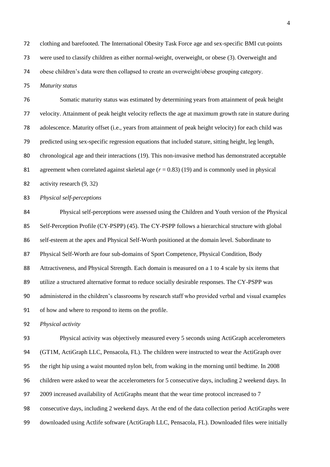clothing and barefooted. The International Obesity Task Force age and sex-specific BMI cut-points

were used to classify children as either normal-weight, overweight, or obese (3). Overweight and

obese children's data were then collapsed to create an overweight/obese grouping category.

*Maturity status*

 Somatic maturity status was estimated by determining years from attainment of peak height velocity. Attainment of peak height velocity reflects the age at maximum growth rate in stature during adolescence. Maturity offset (i.e., years from attainment of peak height velocity) for each child was predicted using sex-specific regression equations that included stature, sitting height, leg length, chronological age and their interactions (19). This non-invasive method has demonstrated acceptable agreement when correlated against skeletal age (*r* = 0.83) (19) and is commonly used in physical activity research (9, 32)

*Physical self-perceptions* 

 Physical self-perceptions were assessed using the Children and Youth version of the Physical Self-Perception Profile (CY-PSPP) (45). The CY-PSPP follows a hierarchical structure with global self-esteem at the apex and Physical Self-Worth positioned at the domain level. Subordinate to Physical Self-Worth are four sub-domains of Sport Competence, Physical Condition, Body Attractiveness, and Physical Strength. Each domain is measured on a 1 to 4 scale by six items that utilize a structured alternative format to reduce socially desirable responses. The CY-PSPP was administered in the children's classrooms by research staff who provided verbal and visual examples of how and where to respond to items on the profile.

*Physical activity* 

 Physical activity was objectively measured every 5 seconds using ActiGraph accelerometers (GT1M, ActiGraph LLC, Pensacola, FL). The children were instructed to wear the ActiGraph over the right hip using a waist mounted nylon belt, from waking in the morning until bedtime. In 2008 children were asked to wear the accelerometers for 5 consecutive days, including 2 weekend days. In 2009 increased availability of ActiGraphs meant that the wear time protocol increased to 7 consecutive days, including 2 weekend days. At the end of the data collection period ActiGraphs were downloaded using Actlife software (ActiGraph LLC, Pensacola, FL). Downloaded files were initially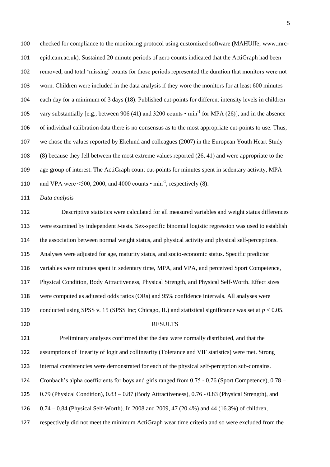checked for compliance to the monitoring protocol using customized software (MAHUffe; www.mrc- epid.cam.ac.uk). Sustained 20 minute periods of zero counts indicated that the ActiGraph had been removed, and total 'missing' counts for those periods represented the duration that monitors were not worn. Children were included in the data analysis if they wore the monitors for at least 600 minutes each day for a minimum of 3 days (18). Published cut-points for different intensity levels in children 105 vary substantially [e.g., between 906 (41) and 3200 counts  $\cdot$  min<sup>-1</sup> for MPA (26)], and in the absence of individual calibration data there is no consensus as to the most appropriate cut-points to use. Thus, we chose the values reported by Ekelund and colleagues (2007) in the European Youth Heart Study (8) because they fell between the most extreme values reported (26, 41) and were appropriate to the age group of interest. The ActiGraph count cut-points for minutes spent in sedentary activity, MPA 110 and VPA were  $\leq 500$ , 2000, and 4000 counts  $\cdot$  min<sup>-1</sup>, respectively (8).

*Data analysis*

 Descriptive statistics were calculated for all measured variables and weight status differences were examined by independent *t*-tests. Sex-specific binomial logistic regression was used to establish the association between normal weight status, and physical activity and physical self-perceptions. Analyses were adjusted for age, maturity status, and socio-economic status. Specific predictor variables were minutes spent in sedentary time, MPA, and VPA, and perceived Sport Competence, Physical Condition, Body Attractiveness, Physical Strength, and Physical Self-Worth. Effect sizes were computed as adjusted odds ratios (ORs) and 95% confidence intervals. All analyses were 119 conducted using SPSS v. 15 (SPSS Inc; Chicago, IL) and statistical significance was set at  $p < 0.05$ . 120 RESULTS Preliminary analyses confirmed that the data were normally distributed, and that the assumptions of linearity of logit and collinearity (Tolerance and VIF statistics) were met. Strong

internal consistencies were demonstrated for each of the physical self-perception sub-domains.

Cronbach's alpha coefficients for boys and girls ranged from 0.75 - 0.76 (Sport Competence), 0.78 –

0.79 (Physical Condition), 0.83 – 0.87 (Body Attractiveness), 0.76 - 0.83 (Physical Strength), and

0.74 – 0.84 (Physical Self-Worth). In 2008 and 2009, 47 (20.4%) and 44 (16.3%) of children,

respectively did not meet the minimum ActiGraph wear time criteria and so were excluded from the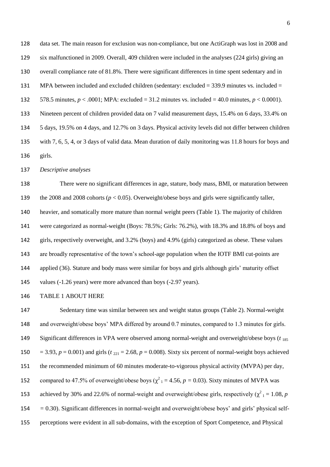data set. The main reason for exclusion was non-compliance, but one ActiGraph was lost in 2008 and six malfunctioned in 2009. Overall, 409 children were included in the analyses (224 girls) giving an overall compliance rate of 81.8%. There were significant differences in time spent sedentary and in MPA between included and excluded children (sedentary: excluded = 339.9 minutes vs. included = 132 578.5 minutes,  $p < .0001$ ; MPA: excluded = 31.2 minutes vs. included = 40.0 minutes,  $p < 0.0001$ ). Nineteen percent of children provided data on 7 valid measurement days, 15.4% on 6 days, 33.4% on 5 days, 19.5% on 4 days, and 12.7% on 3 days. Physical activity levels did not differ between children with 7, 6, 5, 4, or 3 days of valid data. Mean duration of daily monitoring was 11.8 hours for boys and girls.

*Descriptive analyses*

 There were no significant differences in age, stature, body mass, BMI, or maturation between the 2008 and 2008 cohorts (*p* < 0.05). Overweight/obese boys and girls were significantly taller, heavier, and somatically more mature than normal weight peers (Table 1). The majority of children were categorized as normal-weight (Boys: 78.5%; Girls: 76.2%), with 18.3% and 18.8% of boys and girls, respectively overweight, and 3.2% (boys) and 4.9% (girls) categorized as obese. These values are broadly representative of the town's school-age population when the IOTF BMI cut-points are applied (36). Stature and body mass were similar for boys and girls although girls' maturity offset 145 values (-1.26 years) were more advanced than boys (-2.97 years).

## TABLE 1 ABOUT HERE

 Sedentary time was similar between sex and weight status groups (Table 2). Normal-weight and overweight/obese boys' MPA differed by around 0.7 minutes, compared to 1.3 minutes for girls. Significant differences in VPA were observed among normal-weight and overweight/obese boys (*t* <sup>185</sup> 150 = 3.93,  $p = 0.001$ ) and girls ( $t_{221} = 2.68$ ,  $p = 0.008$ ). Sixty six percent of normal-weight boys achieved the recommended minimum of 60 minutes moderate-to-vigorous physical activity (MVPA) per day, 152 compared to 47.5% of overweight/obese boys ( $\chi^2$ <sub>1</sub> = 4.56, *p* = 0.03). Sixty minutes of MVPA was 153 achieved by 30% and 22.6% of normal-weight and overweight/obese girls, respectively  $(\chi^2) = 1.08$ , *p =* 0.30). Significant differences in normal-weight and overweight/obese boys' and girls' physical self-perceptions were evident in all sub-domains, with the exception of Sport Competence, and Physical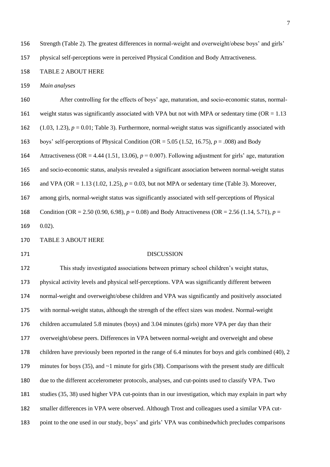Strength (Table 2). The greatest differences in normal-weight and overweight/obese boys' and girls'

physical self-perceptions were in perceived Physical Condition and Body Attractiveness.

## TABLE 2 ABOUT HERE

*Main analyses* 

 After controlling for the effects of boys' age, maturation, and socio-economic status, normal-161 weight status was significantly associated with VPA but not with MPA or sedentary time ( $OR = 1.13$ ) (1.03, 1.23), *p* = 0.01; Table 3). Furthermore, normal-weight status was significantly associated with boys' self-perceptions of Physical Condition (OR = 5.05 (1.52, 16.75), *p* = .008) and Body Attractiveness (OR = 4.44 (1.51, 13.06), *p* = 0.007). Following adjustment for girls' age, maturation and socio-economic status, analysis revealed a significant association between normal-weight status and VPA (OR = 1.13 (1.02, 1.25), *p* = 0.03, but not MPA or sedentary time (Table 3). Moreover, among girls, normal-weight status was significantly associated with self-perceptions of Physical Condition (OR = 2.50 (0.90, 6.98), *p* = 0.08) and Body Attractiveness (OR = 2.56 (1.14, 5.71), *p* = 0.02). TABLE 3 ABOUT HERE DISCUSSION This study investigated associations between primary school children's weight status, physical activity levels and physical self-perceptions. VPA was significantly different between normal-weight and overweight/obese children and VPA was significantly and positively associated with normal-weight status, although the strength of the effect sizes was modest. Normal-weight children accumulated 5.8 minutes (boys) and 3.04 minutes (girls) more VPA per day than their overweight/obese peers. Differences in VPA between normal-weight and overweight and obese children have previously been reported in the range of 6.4 minutes for boys and girls combined (40), 2 179 minutes for boys (35), and ~1 minute for girls (38). Comparisons with the present study are difficult due to the different accelerometer protocols, analyses, and cut-points used to classify VPA. Two studies (35, 38) used higher VPA cut-points than in our investigation, which may explain in part why

smaller differences in VPA were observed. Although Trost and colleagues used a similar VPA cut-

point to the one used in our study, boys' and girls' VPA was combinedwhich precludes comparisons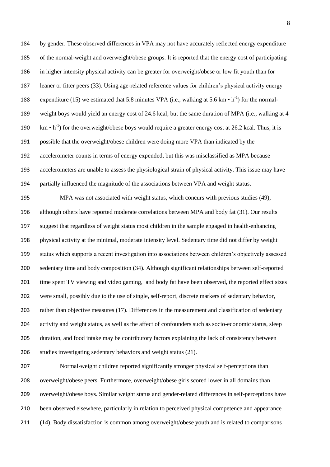by gender. These observed differences in VPA may not have accurately reflected energy expenditure of the normal-weight and overweight/obese groups. It is reported that the energy cost of participating in higher intensity physical activity can be greater for overweight/obese or low fit youth than for leaner or fitter peers (33). Using age-related reference values for children's physical activity energy 188 expenditure (15) we estimated that 5.8 minutes VPA (i.e., walking at 5.6 km  $\cdot$  h<sup>-1</sup>) for the normal- weight boys would yield an energy cost of 24.6 kcal, but the same duration of MPA (i.e., walking at 4  $\text{km} \cdot \text{h}^{-1}$ ) for the overweight/obese boys would require a greater energy cost at 26.2 kcal. Thus, it is possible that the overweight/obese children were doing more VPA than indicated by the accelerometer counts in terms of energy expended, but this was misclassified as MPA because accelerometers are unable to assess the physiological strain of physical activity. This issue may have partially influenced the magnitude of the associations between VPA and weight status.

 MPA was not associated with weight status, which concurs with previous studies (49), although others have reported moderate correlations between MPA and body fat (31). Our results suggest that regardless of weight status most children in the sample engaged in health-enhancing physical activity at the minimal, moderate intensity level. Sedentary time did not differ by weight status which supports a recent investigation into associations between children's objectively assessed sedentary time and body composition (34). Although significant relationships between self-reported 201 time spent TV viewing and video gaming, and body fat have been observed, the reported effect sizes were small, possibly due to the use of single, self-report, discrete markers of sedentary behavior, rather than objective measures (17). Differences in the measurement and classification of sedentary activity and weight status, as well as the affect of confounders such as socio-economic status, sleep duration, and food intake may be contributory factors explaining the lack of consistency between studies investigating sedentary behaviors and weight status (21).

 Normal-weight children reported significantly stronger physical self-perceptions than overweight/obese peers. Furthermore, overweight/obese girls scored lower in all domains than overweight/obese boys. Similar weight status and gender-related differences in self-perceptions have been observed elsewhere, particularly in relation to perceived physical competence and appearance (14). Body dissatisfaction is common among overweight/obese youth and is related to comparisons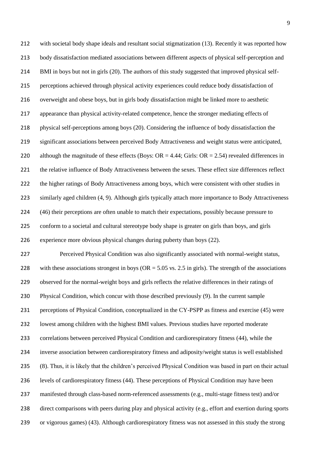with societal body shape ideals and resultant social stigmatization (13). Recently it was reported how body dissatisfaction mediated associations between different aspects of physical self-perception and BMI in boys but not in girls (20). The authors of this study suggested that improved physical self- perceptions achieved through physical activity experiences could reduce body dissatisfaction of overweight and obese boys, but in girls body dissatisfaction might be linked more to aesthetic appearance than physical activity-related competence, hence the stronger mediating effects of physical self-perceptions among boys (20). Considering the influence of body dissatisfaction the significant associations between perceived Body Attractiveness and weight status were anticipated, 220 although the magnitude of these effects (Boys:  $OR = 4.44$ ; Girls:  $OR = 2.54$ ) revealed differences in 221 the relative influence of Body Attractiveness between the sexes. These effect size differences reflect the higher ratings of Body Attractiveness among boys, which were consistent with other studies in similarly aged children (4, 9). Although girls typically attach more importance to Body Attractiveness (46) their perceptions are often unable to match their expectations, possibly because pressure to conform to a societal and cultural stereotype body shape is greater on girls than boys, and girls experience more obvious physical changes during puberty than boys (22). Perceived Physical Condition was also significantly associated with normal-weight status,

228 with these associations strongest in boys ( $OR = 5.05$  vs. 2.5 in girls). The strength of the associations observed for the normal-weight boys and girls reflects the relative differences in their ratings of Physical Condition, which concur with those described previously (9). In the current sample perceptions of Physical Condition, conceptualized in the CY-PSPP as fitness and exercise (45) were lowest among children with the highest BMI values. Previous studies have reported moderate correlations between perceived Physical Condition and cardiorespiratory fitness (44), while the inverse association between cardiorespiratory fitness and adiposity/weight status is well established (8). Thus, it is likely that the children's perceived Physical Condition was based in part on their actual levels of cardiorespiratory fitness (44). These perceptions of Physical Condition may have been manifested through class-based norm-referenced assessments (e.g., multi-stage fitness test) and/or direct comparisons with peers during play and physical activity (e.g., effort and exertion during sports or vigorous games) (43). Although cardiorespiratory fitness was not assessed in this study the strong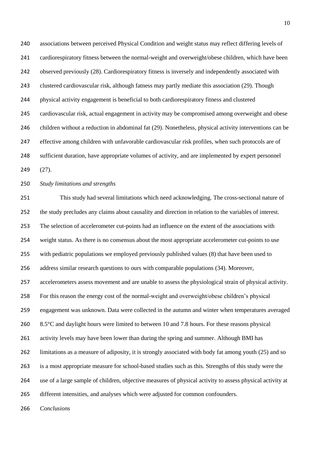associations between perceived Physical Condition and weight status may reflect differing levels of cardiorespiratory fitness between the normal-weight and overweight/obese children, which have been observed previously (28). Cardiorespiratory fitness is inversely and independently associated with clustered cardiovascular risk, although fatness may partly mediate this association (29). Though physical activity engagement is beneficial to both cardiorespiratory fitness and clustered cardiovascular risk, actual engagement in activity may be compromised among overweight and obese children without a reduction in abdominal fat (29). Nonetheless, physical activity interventions can be effective among children with unfavorable cardiovascular risk profiles, when such protocols are of sufficient duration, have appropriate volumes of activity, and are implemented by expert personnel (27).

*Study limitations and strengths*

 This study had several limitations which need acknowledging. The cross-sectional nature of the study precludes any claims about causality and direction in relation to the variables of interest. The selection of accelerometer cut-points had an influence on the extent of the associations with weight status. As there is no consensus about the most appropriate accelerometer cut-points to use with pediatric populations we employed previously published values (8) that have been used to address similar research questions to ours with comparable populations (34). Moreover, accelerometers assess movement and are unable to assess the physiological strain of physical activity. For this reason the energy cost of the normal-weight and overweight/obese children's physical engagement was unknown. Data were collected in the autumn and winter when temperatures averaged 260 8.5°C and daylight hours were limited to between 10 and 7.8 hours. For these reasons physical activity levels may have been lower than during the spring and summer. Although BMI has limitations as a measure of adiposity, it is strongly associated with body fat among youth (25) and so is a most appropriate measure for school-based studies such as this. Strengths of this study were the use of a large sample of children, objective measures of physical activity to assess physical activity at different intensities, and analyses which were adjusted for common confounders.

*Conclusions*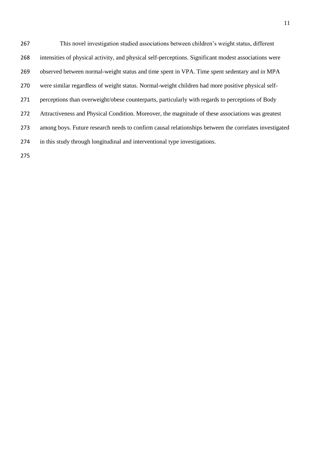This novel investigation studied associations between children's weight status, different intensities of physical activity, and physical self-perceptions. Significant modest associations were observed between normal-weight status and time spent in VPA. Time spent sedentary and in MPA were similar regardless of weight status. Normal-weight children had more positive physical self- perceptions than overweight/obese counterparts, particularly with regards to perceptions of Body Attractiveness and Physical Condition. Moreover, the magnitude of these associations was greatest among boys. Future research needs to confirm causal relationships between the correlates investigated in this study through longitudinal and interventional type investigations.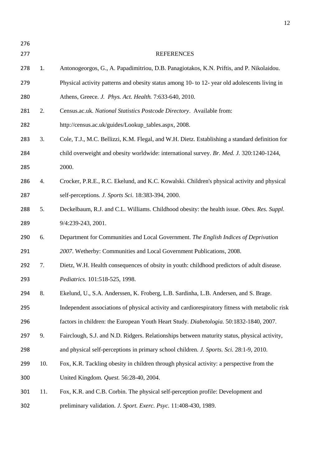| 276 |     |                                                                                                 |
|-----|-----|-------------------------------------------------------------------------------------------------|
| 277 |     | <b>REFERENCES</b>                                                                               |
| 278 | 1.  | Antonogeorgos, G., A. Papadimitriou, D.B. Panagiotakos, K.N. Priftis, and P. Nikolaidou.        |
| 279 |     | Physical activity patterns and obesity status among 10- to 12- year old adolescents living in   |
| 280 |     | Athens, Greece. J. Phys. Act. Health. 7:633-640, 2010.                                          |
| 281 | 2.  | Census.ac.uk. National Statistics Postcode Directory. Available from:                           |
| 282 |     | http://census.ac.uk/guides/Lookup_tables.aspx, 2008.                                            |
| 283 | 3.  | Cole, T.J., M.C. Bellizzi, K.M. Flegal, and W.H. Dietz. Establishing a standard definition for  |
| 284 |     | child overweight and obesity worldwide: international survey. Br. Med. J. 320:1240-1244,        |
| 285 |     | 2000.                                                                                           |
| 286 | 4.  | Crocker, P.R.E., R.C. Ekelund, and K.C. Kowalski. Children's physical activity and physical     |
| 287 |     | self-perceptions. J. Sports Sci. 18:383-394, 2000.                                              |
| 288 | 5.  | Deckelbaum, R.J. and C.L. Williams. Childhood obesity: the health issue. Obes. Res. Suppl.      |
| 289 |     | 9/4:239-243, 2001.                                                                              |
| 290 | 6.  | Department for Communities and Local Government. The English Indices of Deprivation             |
| 291 |     | 2007. Wetherby: Communities and Local Government Publications, 2008.                            |
| 292 | 7.  | Dietz, W.H. Health consequences of obsity in youth: childhood predictors of adult disease.      |
| 293 |     | Pediatrics. 101:518-525, 1998.                                                                  |
| 294 | 8.  | Ekelund, U., S.A. Anderssen, K. Froberg, L.B. Sardinha, L.B. Andersen, and S. Brage.            |
| 295 |     | Independent associations of physical activity and cardiorespiratory fitness with metabolic risk |
| 296 |     | factors in children: the European Youth Heart Study. Diabetologia. 50:1832-1840, 2007.          |
| 297 | 9.  | Fairclough, S.J. and N.D. Ridgers. Relationships between maturity status, physical activity,    |
| 298 |     | and physical self-perceptions in primary school children. J. Sports. Sci. 28:1-9, 2010.         |
| 299 | 10. | Fox, K.R. Tackling obesity in children through physical activity: a perspective from the        |
| 300 |     | United Kingdom. Quest. 56:28-40, 2004.                                                          |
| 301 | 11. | Fox, K.R. and C.B. Corbin. The physical self-perception profile: Development and                |
| 302 |     | preliminary validation. J. Sport. Exerc. Psyc. 11:408-430, 1989.                                |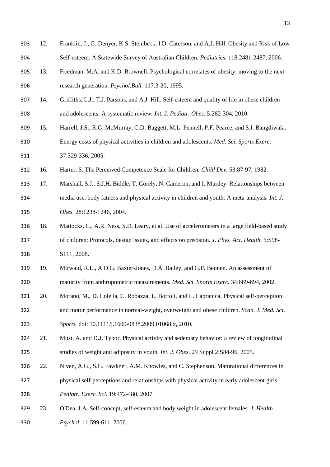12. Franklin, J., G. Denyer, K.S. Steinbeck, I.D. Caterson, and A.J. Hill. Obesity and Risk of Low Self-esteem: A Statewide Survey of Australian Children*. Pediatrics.* 118:2481-2487, 2006. 13. Friedman, M.A. and K.D. Brownell. Psychological correlates of obesity: moving to the next research generation*. Psychol.Bull.* 117:3-20, 1995. 14. Griffiths, L.J., T.J. Parsons, and A.J. Hill. Self-esteem and quality of life in obese children and adolescents: A systematic review*. Int. J. Pediatr. Obes.* 5:282-304, 2010. 15. Harrell, J.S., R.G. McMurray, C.D. Baggett, M.L. Pennell, P.F. Pearce, and S.I. Bangdiwala. Energy costs of physical activities in children and adolescents*. Med. Sci. Sports Exerc.* 37:329-336, 2005. 16. Harter, S. The Perceived Competence Scale for Children*. Child Dev.* 53:87-97, 1982. 17. Marshall, S.J., S.J.H. Biddle, T. Gorely, N. Cameron, and I. Murdey. Relationships between media use, body fatness and physical activity in children and youth: A meta-analysis*. Int. J. Obes.* 28:1238-1246, 2004. 18. Mattocks, C., A.R. Ness, S.D. Leary, et al. Use of accelerometers in a large field-based study of children: Protocols, design issues, and effects on precision*. J. Phys. Act. Health.* 5:S98- S111, 2008. 19. Mirwald, R.L., A.D.G. Baxter-Jones, D.A. Bailey, and G.P. Beunen. An assessment of maturity from anthropometric measurements*. Med. Sci. Sports Exerc.* 34:689-694, 2002. 20. Morano, M., D. Colella, C. Robazza, L. Bortoli, and L. Capranica. Physical self-perception and motor performance in normal-weight, overweight and obese children*. Scan. J. Med. Sci. Sports.* doi: 10.1111/j.1600-0838.2009.01068.x, 2010. 21. Must, A. and D.J. Tybor. Physical activity and sedentary behavior: a review of longitudinal studies of weight and adiposity in youth*. Int. J. Obes.* 29 Suppl 2:S84-96, 2005. 22. Niven, A.G., S.G. Fawkner, A.M. Knowles, and C. Stephenson. Maturational differences in physical self-perceptions and relationships with physical activity in early adolescent girls*. Pediatr. Exerc. Sci.* 19:472-480, 2007. 23. O'Dea, J.A. Self-concept, self-esteem and body weight in adolescent females*. J. Health Psychol.* 11:599-611, 2006.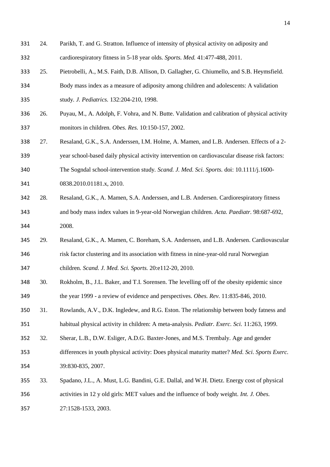- 24. Parikh, T. and G. Stratton. Influence of intensity of physical activity on adiposity and cardiorespiratory fitness in 5-18 year olds*. Sports. Med.* 41:477-488, 2011.
- 25. Pietrobelli, A., M.S. Faith, D.B. Allison, D. Gallagher, G. Chiumello, and S.B. Heymsfield. Body mass index as a measure of adiposity among children and adolescents: A validation
- study*. J. Pediatrics.* 132:204-210, 1998.
- 26. Puyau, M., A. Adolph, F. Vohra, and N. Butte. Validation and calibration of physical activity monitors in children*. Obes. Res.* 10:150-157, 2002.
- 27. Resaland, G.K., S.A. Anderssen, I.M. Holme, A. Mamen, and L.B. Andersen. Effects of a 2-
- year school-based daily physical activity intervention on cardiovascular disease risk factors:
- The Sogndal school-intervention study*. Scand. J. Med. Sci. Sports.* doi: 10.1111/j.1600-

0838.2010.01181.x, 2010.

- 28. Resaland, G.K., A. Mamen, S.A. Anderssen, and L.B. Andersen. Cardiorespiratory fitness and body mass index values in 9-year-old Norwegian children*. Acta. Paediatr.* 98:687-692, 2008.
- 29. Resaland, G.K., A. Mamen, C. Boreham, S.A. Anderssen, and L.B. Andersen. Cardiovascular risk factor clustering and its association with fitness in nine-year-old rural Norwegian children*. Scand. J. Med. Sci. Sports.* 20:e112-20, 2010.
- 30. Rokholm, B., J.L. Baker, and T.I. Sorensen. The levelling off of the obesity epidemic since the year 1999 - a review of evidence and perspectives*. Obes. Rev.* 11:835-846, 2010.
- 31. Rowlands, A.V., D.K. Ingledew, and R.G. Eston. The relationship between body fatness and
- habitual physical activity in children: A meta-analysis. *Pediatr. Exerc. Sci.* 11:263, 1999.
- 32. Sherar, L.B., D.W. Esliger, A.D.G. Baxter-Jones, and M.S. Trembaly. Age and gender
- differences in youth physical activity: Does physical maturity matter? *Med. Sci. Sports Exerc.* 39:830-835, 2007.
- 33. Spadano, J.L., A. Must, L.G. Bandini, G.E. Dallal, and W.H. Dietz. Energy cost of physical activities in 12 y old girls: MET values and the influence of body weight*. Int. J. Obes.*
- 27:1528-1533, 2003.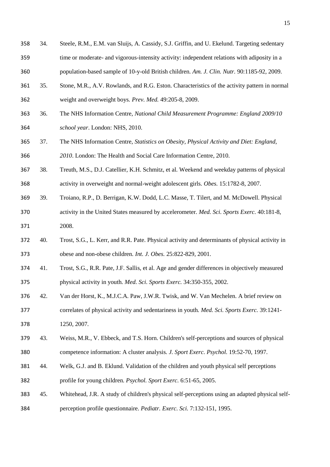- 34. Steele, R.M., E.M. van Sluijs, A. Cassidy, S.J. Griffin, and U. Ekelund. Targeting sedentary time or moderate- and vigorous-intensity activity: independent relations with adiposity in a population-based sample of 10-y-old British children*. Am. J. Clin. Nutr.* 90:1185-92, 2009.
- 35. Stone, M.R., A.V. Rowlands, and R.G. Eston. Characteristics of the activity pattern in normal
- weight and overweight boys*. Prev. Med.* 49:205-8, 2009.
- 36. The NHS Information Centre, *National Child Measurement Programme: England 2009/10 school year*. London: NHS, 2010.
- 37. The NHS Information Centre, *Statistics on Obesity, Physical Activity and Diet: England, 2010*. London: The Health and Social Care Information Centre, 2010.
- 38. Treuth, M.S., D.J. Catellier, K.H. Schmitz, et al. Weekend and weekday patterns of physical activity in overweight and normal-weight adolescent girls*. Obes.* 15:1782-8, 2007.
- 39. Troiano, R.P., D. Berrigan, K.W. Dodd, L.C. Masse, T. Tilert, and M. McDowell. Physical activity in the United States measured by accelerometer*. Med. Sci. Sports Exerc.* 40:181-8, 2008.
- 40. Trost, S.G., L. Kerr, and R.R. Pate. Physical activity and determinants of physical activity in obese and non-obese children*. Int. J. Obes.* 25:822-829, 2001.
- 41. Trost, S.G., R.R. Pate, J.F. Sallis, et al. Age and gender differences in objectively measured physical activity in youth*. Med. Sci. Sports Exerc.* 34:350-355, 2002.
- 42. Van der Horst, K., M.J.C.A. Paw, J.W.R. Twisk, and W. Van Mechelen. A brief review on correlates of physical activity and sedentariness in youth*. Med. Sci. Sports Exerc.* 39:1241- 1250, 2007.
- 43. Weiss, M.R., V. Ebbeck, and T.S. Horn. Children's self-perceptions and sources of physical competence information: A cluster analysis*. J. Sport Exerc. Psychol.* 19:52-70, 1997.
- 44. Welk, G.J. and B. Eklund. Validation of the children and youth physical self perceptions profile for young children*. Psychol. Sport Exerc.* 6:51-65, 2005.
- 45. Whitehead, J.R. A study of children's physical self-perceptions using an adapted physical self-perception profile questionnaire. *Pediatr. Exerc. Sci.* 7:132-151, 1995.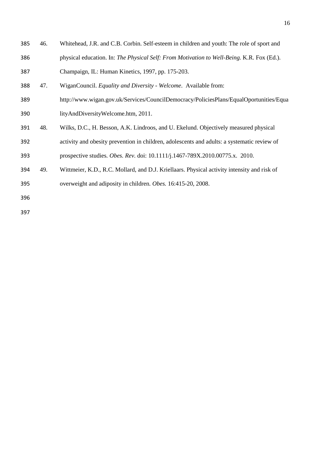| 385 | 46. | Whitehead, J.R. and C.B. Corbin. Self-esteem in children and youth: The role of sport and   |
|-----|-----|---------------------------------------------------------------------------------------------|
| 386 |     | physical education. In: The Physical Self: From Motivation to Well-Being. K.R. Fox (Ed.).   |
| 387 |     | Champaign, IL: Human Kinetics, 1997, pp. 175-203.                                           |
| 388 | 47. | WiganCouncil. Equality and Diversity - Welcome. Available from:                             |
| 389 |     | http://www.wigan.gov.uk/Services/CouncilDemocracy/PoliciesPlans/EqualOportunities/Equa      |
| 390 |     | lityAndDiversityWelcome.htm, 2011.                                                          |
| 391 | 48. | Wilks, D.C., H. Besson, A.K. Lindroos, and U. Ekelund. Objectively measured physical        |
| 392 |     | activity and obesity prevention in children, adolescents and adults: a systematic review of |
| 393 |     | prospective studies. Obes. Rev. doi: 10.1111/j.1467-789X.2010.00775.x. 2010.                |
| 394 | 49. | Wittmeier, K.D., R.C. Mollard, and D.J. Kriellaars. Physical activity intensity and risk of |
| 395 |     | overweight and adiposity in children. Obes. 16:415-20, 2008.                                |
| 396 |     |                                                                                             |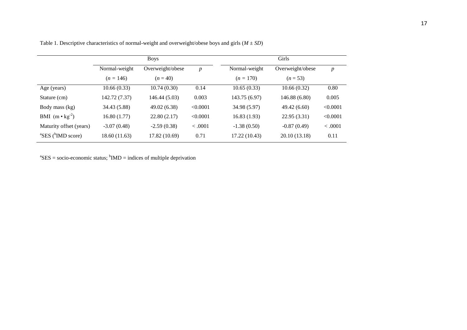|                                            |               | <b>Boys</b>      |          | Girls         |                  |          |  |
|--------------------------------------------|---------------|------------------|----------|---------------|------------------|----------|--|
|                                            | Normal-weight | Overweight/obese | p        | Normal-weight | Overweight/obese | p        |  |
|                                            | $(n = 146)$   | $(n = 40)$       |          | $(n = 170)$   | $(n = 53)$       |          |  |
| Age (years)                                | 10.66(0.33)   | 10.74(0.30)      | 0.14     | 10.65(0.33)   | 10.66(0.32)      | 0.80     |  |
| Stature (cm)                               | 142.72 (7.37) | 146.44 (5.03)    | 0.003    | 143.75 (6.97) | 146.88 (6.80)    | 0.005    |  |
| Body mass (kg)                             | 34.43 (5.88)  | 49.02 (6.38)     | < 0.0001 | 34.98 (5.97)  | 49.42 (6.60)     | < 0.0001 |  |
| BMI $(m \cdot kg^2)$                       | 16.80(1.77)   | 22.80(2.17)      | < 0.0001 | 16.83(1.93)   | 22.95 (3.31)     | < 0.0001 |  |
| Maturity offset (years)                    | $-3.07(0.48)$ | $-2.59(0.38)$    | < .0001  | $-1.38(0.50)$ | $-0.87(0.49)$    | < .0001  |  |
| ${}^{\rm a}$ SES ( ${}^{\rm b}$ IMD score) | 18.60 (11.63) | 17.82 (10.69)    | 0.71     | 17.22 (10.43) | 20.10 (13.18)    | 0.11     |  |

Table 1. Descriptive characteristics of normal-weight and overweight/obese boys and girls  $(M \pm SD)$ 

 ${}^{\text{a}}\text{SES} = \text{socio-economic status}; {}^{\text{b}}\text{IMD} = \text{indices of multiple deprivation}$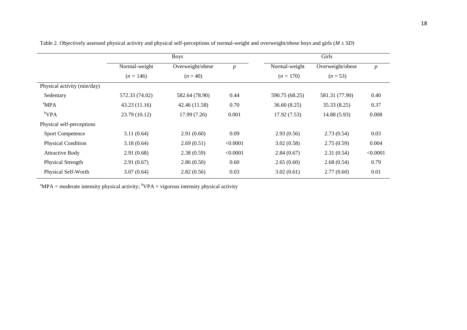|                             |                | <b>Boys</b>      |                  |                | Girls            |                  |
|-----------------------------|----------------|------------------|------------------|----------------|------------------|------------------|
|                             | Normal-weight  | Overweight/obese | $\boldsymbol{p}$ | Normal-weight  | Overweight/obese | $\boldsymbol{p}$ |
|                             | $(n = 146)$    | $(n = 40)$       |                  | $(n = 170)$    | $(n = 53)$       |                  |
| Physical activity (min/day) |                |                  |                  |                |                  |                  |
| Sedentary                   | 572.33 (74.02) | 582.64 (78.90)   | 0.44             | 590.75 (68.25) | 581.31 (77.90)   | 0.40             |
| <sup>a</sup> MPA            | 43.23(11.16)   | 42.46 (11.58)    | 0.70             | 36.60(8.25)    | 35.33 (8.25)     | 0.37             |
| $b$ VPA                     | 23.79 (10.12)  | 17.99(7.26)      | 0.001            | 17.92(7.53)    | 14.88 (5.93)     | 0.008            |
| Physical self-perceptions   |                |                  |                  |                |                  |                  |
| <b>Sport Competence</b>     | 3.11(0.64)     | 2.91(0.60)       | 0.09             | 2.93(0.56)     | 2.73(0.54)       | 0.03             |
| Physical Condition          | 3.18(0.64)     | 2.69(0.51)       | < 0.0001         | 3.02(0.58)     | 2.75(0.59)       | 0.004            |
| <b>Attractive Body</b>      | 2.91(0.68)     | 2.38(0.59)       | < 0.0001         | 2.84(0.67)     | 2.31(0.54)       | < 0.0001         |
| Physical Strength           | 2.91(0.67)     | 2.86(0.50)       | 0.60             | 2.65(0.60)     | 2.68(0.54)       | 0.79             |
| Physical Self-Worth         | 3.07(0.64)     | 2.82(0.56)       | 0.03             | 3.02(0.61)     | 2.77(0.60)       | 0.01             |
|                             |                |                  |                  |                |                  |                  |

Table 2. Objectively assessed physical activity and physical self-perceptions of normal-weight and overweight/obese boys and girls (*M* ± *SD*)

<sup>a</sup>MPA = moderate intensity physical activity; <sup>b</sup>VPA = vigorous intensity physical activity